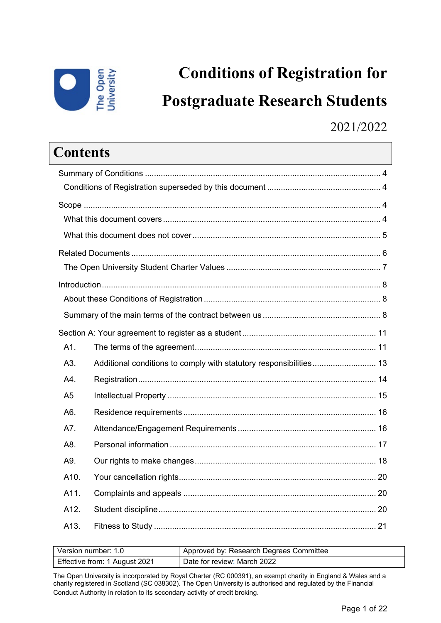

# **Conditions of Registration for Postgraduate Research Students**

### 2021/2022

| Contents                                                                  |  |
|---------------------------------------------------------------------------|--|
|                                                                           |  |
|                                                                           |  |
|                                                                           |  |
|                                                                           |  |
|                                                                           |  |
|                                                                           |  |
|                                                                           |  |
|                                                                           |  |
|                                                                           |  |
|                                                                           |  |
|                                                                           |  |
| A1.                                                                       |  |
| A3.<br>Additional conditions to comply with statutory responsibilities 13 |  |
| A4.                                                                       |  |
| A <sub>5</sub>                                                            |  |
| A6.                                                                       |  |
| A7.                                                                       |  |
| A8.                                                                       |  |
| A9.                                                                       |  |
| A10.                                                                      |  |
| A11.                                                                      |  |
| A12.                                                                      |  |
| A13.                                                                      |  |

| Version number: 1.0           | Approved by: Research Degrees Committee |
|-------------------------------|-----------------------------------------|
| Effective from: 1 August 2021 | Date for review: March 2022             |

The Open University is incorporated by Royal Charter (RC 000391), an exempt charity in England & Wales and a charity registered in Scotland (SC 038302). The Open University is authorised and regulated by the Financial Conduct Authority in relation to its secondary activity of credit broking.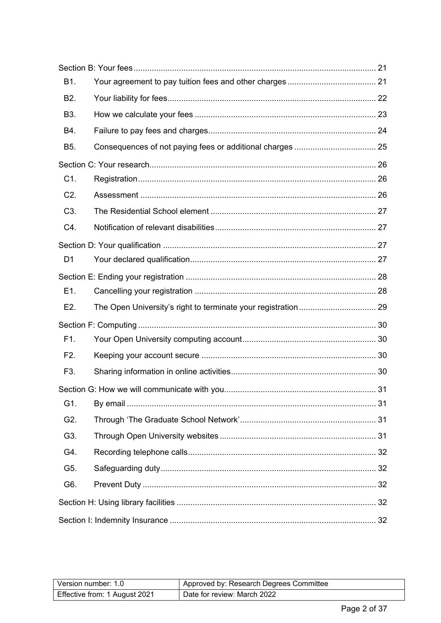| B1.              |  |
|------------------|--|
| B <sub>2</sub> . |  |
| B3.              |  |
| B4.              |  |
| B <sub>5</sub> . |  |
|                  |  |
| C1.              |  |
| C2.              |  |
| C <sub>3</sub> . |  |
| C4.              |  |
|                  |  |
| D <sub>1</sub>   |  |
|                  |  |
| E1.              |  |
| E2.              |  |
|                  |  |
| F1.              |  |
| F2.              |  |
| F3.              |  |
|                  |  |
| G1.              |  |
| G2.              |  |
| G3.              |  |
| G4.              |  |
| G5.              |  |
| G6.              |  |
|                  |  |
|                  |  |

| Version number: 1.0           | Approved by: Research Degrees Committee |
|-------------------------------|-----------------------------------------|
| Effective from: 1 August 2021 | Date for review: March 2022             |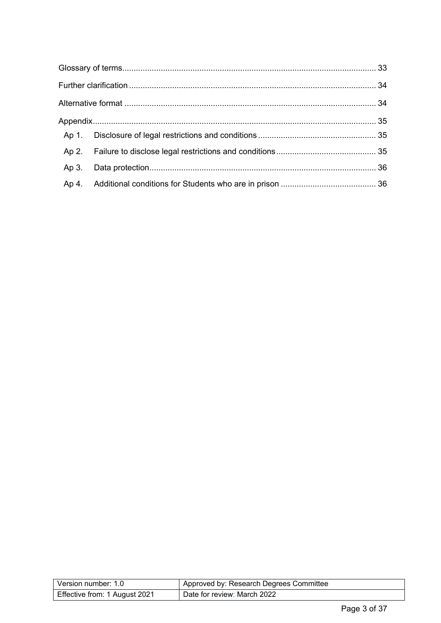| Version number: 1.0           | Approved by: Research Degrees Committee |
|-------------------------------|-----------------------------------------|
| Effective from: 1 August 2021 | Date for review: March 2022             |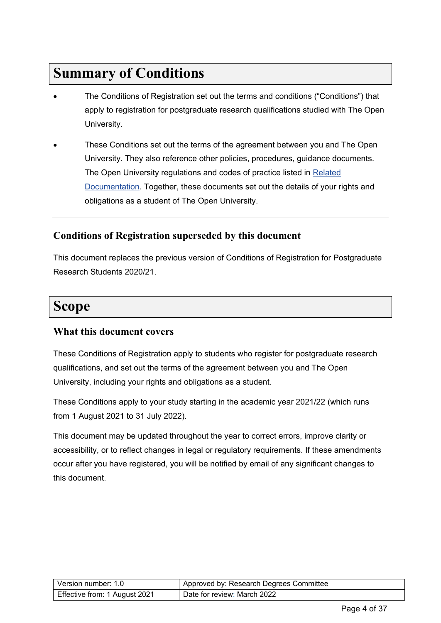# <span id="page-3-0"></span>**Summary of Conditions**

- The Conditions of Registration set out the terms and conditions ("Conditions") that apply to registration for postgraduate research qualifications studied with The Open University.
- These Conditions set out the terms of the agreement between you and The Open University. They also reference other policies, procedures, guidance documents. The Open University regulations and codes of practice listed in Related Documentation. Together, these documents set out the details of your rights and obligations as a student of The Open University.

### <span id="page-3-1"></span>**Conditions of Registration superseded by this document**

This document replaces the previous version of Conditions of Registration for Postgraduate Research Students 2020/21.

# <span id="page-3-2"></span>**Scope**

#### <span id="page-3-3"></span>**What this document covers**

These Conditions of Registration apply to students who register for postgraduate research qualifications, and set out the terms of the agreement between you and The Open University, including your rights and obligations as a student.

These Conditions apply to your study starting in the academic year 2021/22 (which runs from 1 August 2021 to 31 July 2022).

This document may be updated throughout the year to correct errors, improve clarity or accessibility, or to reflect changes in legal or regulatory requirements. If these amendments occur after you have registered, you will be notified by email of any significant changes to this document.

| Version number: 1.0           | Approved by: Research Degrees Committee |
|-------------------------------|-----------------------------------------|
| Effective from: 1 August 2021 | Date for review: March 2022             |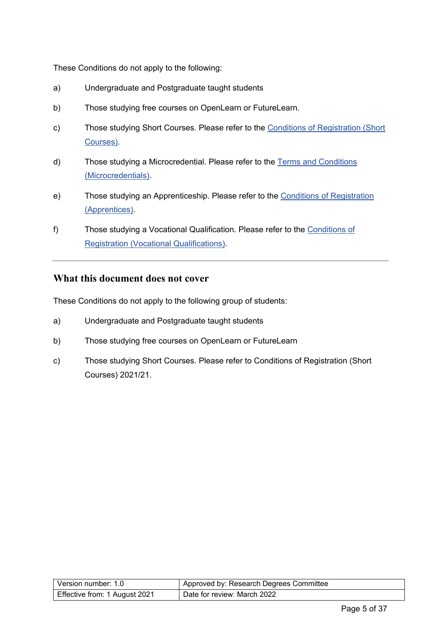These Conditions do not apply to the following:

- a) Undergraduate and Postgraduate taught students
- b) Those studying free courses on OpenLearn or FutureLearn.
- c) Those studying Short Courses. Please refer to the [Conditions of Registration \(Short](https://help.open.ac.uk/documents/policies/conditions-of-registration-short-courses)  [Courses\).](https://help.open.ac.uk/documents/policies/conditions-of-registration-short-courses)
- d) Those studying a Microcredential. Please refer to the [Terms and Conditions](https://help.open.ac.uk/documents/policies/terms-and-conditions-microcredentials-21)  [\(Microcredentials\).](https://help.open.ac.uk/documents/policies/terms-and-conditions-microcredentials-21)
- e) Those studying an Apprenticeship. Please refer to the [Conditions of Registration](https://help.open.ac.uk/documents/policies/conditions-of-registration-apprentices)  [\(Apprentices\).](https://help.open.ac.uk/documents/policies/conditions-of-registration-apprentices)
- f) Those studying a Vocational Qualification. Please refer to the [Conditions of](http://www.open.ac.uk/business/sites/www.open.ac.uk.business/files/files/Conditions%20of%20Registration.pdf)  [Registration \(Vocational Qualifications\).](http://www.open.ac.uk/business/sites/www.open.ac.uk.business/files/files/Conditions%20of%20Registration.pdf)

#### <span id="page-4-0"></span>**What this document does not cover**

These Conditions do not apply to the following group of students:

- a) Undergraduate and Postgraduate taught students
- b) Those studying free courses on OpenLearn or FutureLearn
- c) Those studying Short Courses. Please refer to Conditions of Registration (Short Courses) 2021/21.

| l Version number: 1.0         | Approved by: Research Degrees Committee |
|-------------------------------|-----------------------------------------|
| Effective from: 1 August 2021 | Date for review: March 2022             |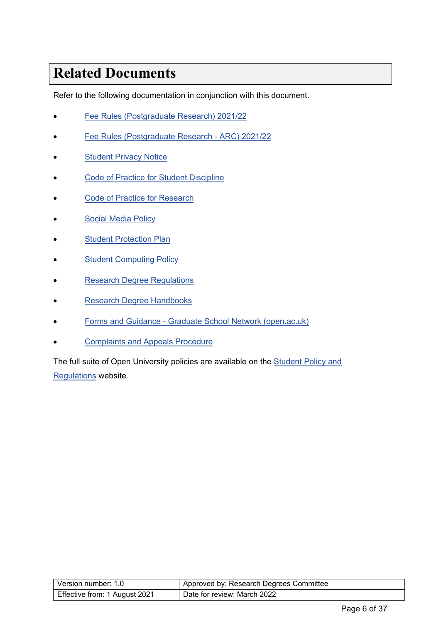# <span id="page-5-0"></span>**Related Documents**

Refer to the following documentation in conjunction with this document.

- [Fee Rules \(Postgraduate Research\) 2021/22](https://help.open.ac.uk/documents/policies/fee-rules)
- [Fee Rules \(Postgraduate Research ARC\)](https://help.open.ac.uk/documents/policies/fee-rules) 2021/22
- [Student Privacy Notice](https://help.open.ac.uk/documents/policies/privacy-notice)
- **[Code of Practice for Student Discipline](https://help.open.ac.uk/documents/policies/code-of-practice-student-discipline)**
- Code of Practice for Research
- **[Social Media Policy](https://help.open.ac.uk/documents/policies/social-media)**
- [Student Protection Plan](https://help.open.ac.uk/documents/policies/student-protection-plan)
- **[Student Computing Policy](https://help.open.ac.uk/documents/policies/computing)**
- [Research Degree Regulations](https://help.open.ac.uk/documents/policies/research-degree-regulations)
- **[Research Degree Handbooks](https://help.open.ac.uk/documents/policies/research-degrees-handbook)**
- Forms [and Guidance Graduate School Network \(open.ac.uk\)](https://www.open.ac.uk/students/research/forms-and-guidance)
- **Complaints [and Appeals Procedure](https://help.open.ac.uk/documents/policies/complaints-and-appeals-procedure)**

The full suite of Open University policies are available on the [Student Policy](https://help.open.ac.uk/documents/policies) and Regulations website.

| l Version number: 1.0         | Approved by: Research Degrees Committee |
|-------------------------------|-----------------------------------------|
| Effective from: 1 August 2021 | Date for review: March 2022             |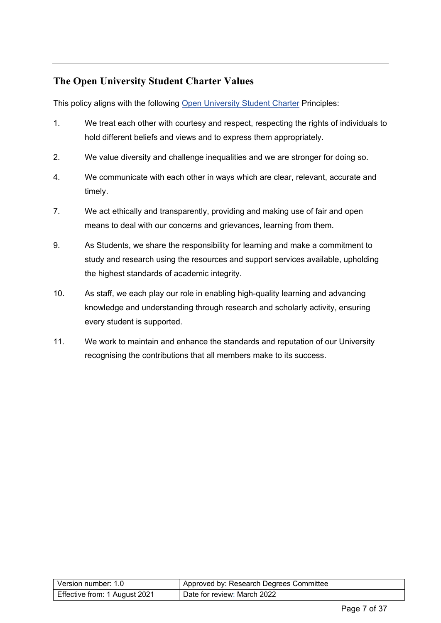### <span id="page-6-0"></span>**The Open University Student Charter Values**

This policy aligns with the following [Open University Student Charter](http://www.open.ac.uk/students/charter/) Principles:

- 1. We treat each other with courtesy and respect, respecting the rights of individuals to hold different beliefs and views and to express them appropriately.
- 2. We value diversity and challenge inequalities and we are stronger for doing so.
- 4. We communicate with each other in ways which are clear, relevant, accurate and timely.
- 7. We act ethically and transparently, providing and making use of fair and open means to deal with our concerns and grievances, learning from them.
- 9. As Students, we share the responsibility for learning and make a commitment to study and research using the resources and support services available, upholding the highest standards of academic integrity.
- 10. As staff, we each play our role in enabling high-quality learning and advancing knowledge and understanding through research and scholarly activity, ensuring every student is supported.
- 11. We work to maintain and enhance the standards and reputation of our University recognising the contributions that all members make to its success.

| l Version number: 1.0_        | Approved by: Research Degrees Committee |
|-------------------------------|-----------------------------------------|
| Effective from: 1 August 2021 | Date for review: March 2022             |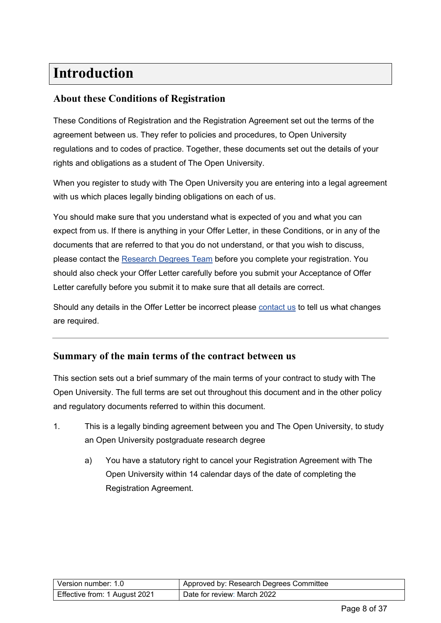# <span id="page-7-0"></span>**Introduction**

### <span id="page-7-1"></span>**About these Conditions of Registration**

These Conditions of Registration and the Registration Agreement set out the terms of the agreement between us. They refer to policies and procedures, to Open University regulations and to codes of practice. Together, these documents set out the details of your rights and obligations as a student of The Open University.

When you register to study with The Open University you are entering into a legal agreement with us which places legally binding obligations on each of us.

You should make sure that you understand what is expected of you and what you can expect from us. If there is anything in your Offer Letter, in these Conditions, or in any of the documents that are referred to that you do not understand, or that you wish to discuss, please contact the [Research Degrees Team](#page-33-2) before you complete your registration. You should also check your Offer Letter carefully before you submit your Acceptance of Offer Letter carefully before you submit it to make sure that all details are correct.

Should any details in the Offer Letter be incorrect please [contact us](#page-33-2) to tell us what changes are required.

#### <span id="page-7-2"></span>**Summary of the main terms of the contract between us**

This section sets out a brief summary of the main terms of your contract to study with The Open University. The full terms are set out throughout this document and in the other policy and regulatory documents referred to within this document.

- 1. This is a legally binding agreement between you and The Open University, to study an Open University postgraduate research degree
	- a) You have a statutory right to cancel your Registration Agreement with The Open University within 14 calendar days of the date of completing the Registration Agreement.

| Version number: 1.0           | Approved by: Research Degrees Committee |
|-------------------------------|-----------------------------------------|
| Effective from: 1 August 2021 | Date for review: March 2022             |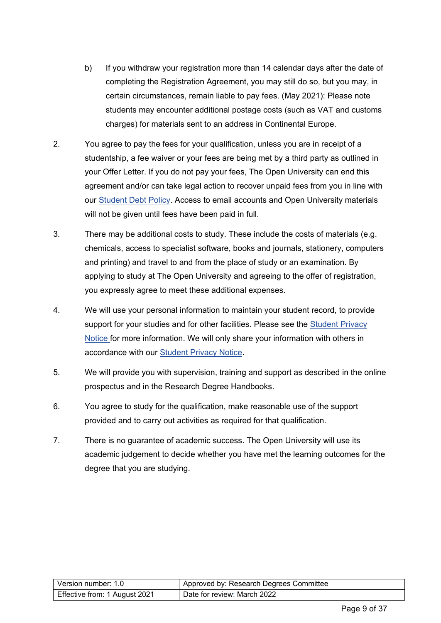- b) If you withdraw your registration more than 14 calendar days after the date of completing the Registration Agreement, you may still do so, but you may, in certain circumstances, remain liable to pay fees. (May 2021): Please note students may encounter additional postage costs (such as VAT and customs charges) for materials sent to an address in Continental Europe.
- 2. You agree to pay the fees for your qualification, unless you are in receipt of a studentship, a fee waiver or your fees are being met by a third party as outlined in your Offer Letter. If you do not pay your fees, The Open University can end this agreement and/or can take legal action to recover unpaid fees from you in line with our [Student Debt Policy.](https://help.open.ac.uk/documents/policies/student-debt-policy) Access to email accounts and Open University materials will not be given until fees have been paid in full.
- 3. There may be additional costs to study. These include the costs of materials (e.g. chemicals, access to specialist software, books and journals, stationery, computers and printing) and travel to and from the place of study or an examination. By applying to study at The Open University and agreeing to the offer of registration, you expressly agree to meet these additional expenses.
- 4. We will use your personal information to maintain your student record, to provide support for your studies and for other facilities. Please see the [Student Privacy](https://help.open.ac.uk/documents/policies/privacy-notice)  [Notice](https://help.open.ac.uk/documents/policies/privacy-notice) for more information. We will only share your information with others in accordance with our [Student Privacy Notice.](https://help.open.ac.uk/documents/policies/privacy-notice)
- 5. We will provide you with supervision, training and support as described in the online prospectus and in the Research Degree Handbooks.
- 6. You agree to study for the qualification, make reasonable use of the support provided and to carry out activities as required for that qualification.
- 7. There is no guarantee of academic success. The Open University will use its academic judgement to decide whether you have met the learning outcomes for the degree that you are studying.

| Version number: 1.0           | Approved by: Research Degrees Committee |
|-------------------------------|-----------------------------------------|
| Effective from: 1 August 2021 | Date for review: March 2022             |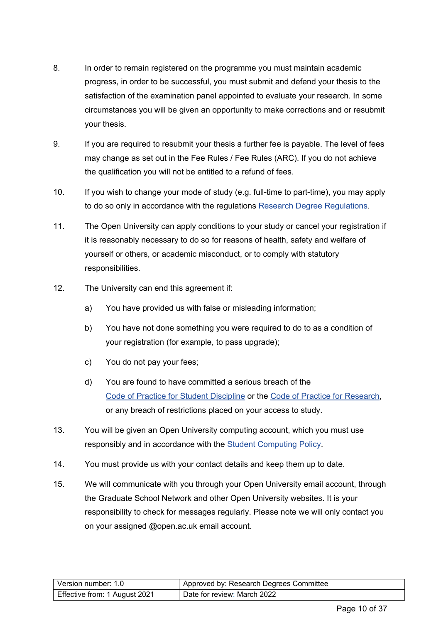- 8. In order to remain registered on the programme you must maintain academic progress, in order to be successful, you must submit and defend your thesis to the satisfaction of the examination panel appointed to evaluate your research. In some circumstances you will be given an opportunity to make corrections and or resubmit your thesis.
- 9. If you are required to resubmit your thesis a further fee is payable. The level of fees may change as set out in the Fee Rules / Fee Rules (ARC). If you do not achieve the qualification you will not be entitled to a refund of fees.
- 10. If you wish to change your mode of study (e.g. full-time to part-time), you may apply to do so only in accordance with the regulations [Research Degree Regulations.](https://help.open.ac.uk/documents/policies/research-degree-regulations)
- 11. The Open University can apply conditions to your study or cancel your registration if it is reasonably necessary to do so for reasons of health, safety and welfare of yourself or others, or academic misconduct, or to comply with statutory responsibilities.
- 12. The University can end this agreement if:
	- a) You have provided us with false or misleading information;
	- b) You have not done something you were required to do to as a condition of your registration (for example, to pass upgrade);
	- c) You do not pay your fees;
	- d) You are found to have committed a serious breach of the [Code of Practice for Student Discipline](https://help.open.ac.uk/documents/policies/code-of-practice-student-discipline) or the [Code of Practice for Research,](http://www.open.ac.uk/research/plans-policies) or any breach of restrictions placed on your access to study.
- 13. You will be given an Open University computing account, which you must use responsibly and in accordance with the [Student Computing Policy.](https://help.open.ac.uk/documents/policies/computing)
- 14. You must provide us with your contact details and keep them up to date.
- 15. We will communicate with you through your Open University email account, through the Graduate School Network and other Open University websites. It is your responsibility to check for messages regularly. Please note we will only contact you on your assigned @open.ac.uk email account.

| Version number: 1.0           | Approved by: Research Degrees Committee |
|-------------------------------|-----------------------------------------|
| Effective from: 1 August 2021 | Date for review: March 2022             |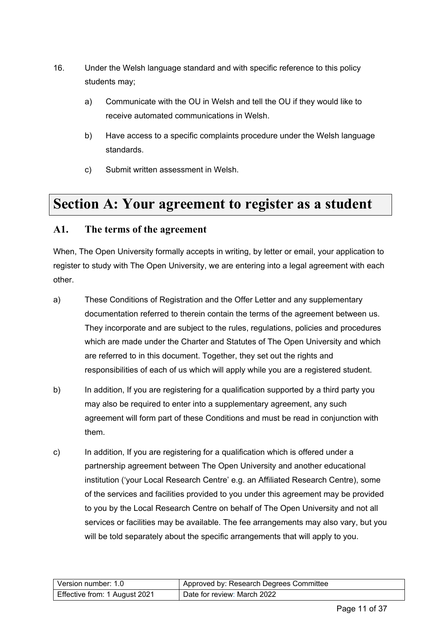- 16. Under the Welsh language standard and with specific reference to this policy students may;
	- a) Communicate with the OU in Welsh and tell the OU if they would like to receive automated communications in Welsh.
	- b) Have access to a specific complaints procedure under the Welsh language standards.
	- c) Submit written assessment in Welsh.

### <span id="page-10-0"></span>**Section A: Your agreement to register as a student**

#### <span id="page-10-1"></span>**A1. The terms of the agreement**

When, The Open University formally accepts in writing, by letter or email, your application to register to study with The Open University, we are entering into a legal agreement with each other.

- a) These Conditions of Registration and the Offer Letter and any supplementary documentation referred to therein contain the terms of the agreement between us. They incorporate and are subject to the rules, regulations, policies and procedures which are made under the Charter and Statutes of The Open University and which are referred to in this document. Together, they set out the rights and responsibilities of each of us which will apply while you are a registered student.
- b) In addition, If you are registering for a qualification supported by a third party you may also be required to enter into a supplementary agreement, any such agreement will form part of these Conditions and must be read in conjunction with them.
- c) In addition, If you are registering for a qualification which is offered under a partnership agreement between The Open University and another educational institution ('your Local Research Centre' e.g. an Affiliated Research Centre), some of the services and facilities provided to you under this agreement may be provided to you by the Local Research Centre on behalf of The Open University and not all services or facilities may be available. The fee arrangements may also vary, but you will be told separately about the specific arrangements that will apply to you.

| Version number: 1.0           | Approved by: Research Degrees Committee |
|-------------------------------|-----------------------------------------|
| Effective from: 1 August 2021 | l Date for review: March 2022           |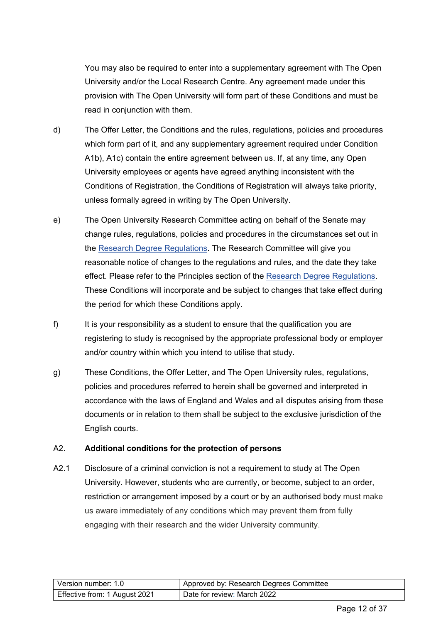You may also be required to enter into a supplementary agreement with The Open University and/or the Local Research Centre. Any agreement made under this provision with The Open University will form part of these Conditions and must be read in conjunction with them.

- d) The Offer Letter, the Conditions and the rules, regulations, policies and procedures which form part of it, and any supplementary agreement required under Condition A1b), A1c) contain the entire agreement between us. If, at any time, any Open University employees or agents have agreed anything inconsistent with the Conditions of Registration, the Conditions of Registration will always take priority, unless formally agreed in writing by The Open University.
- e) The Open University Research Committee acting on behalf of the Senate may change rules, regulations, policies and procedures in the circumstances set out in the [Research Degree Regulations.](https://help.open.ac.uk/documents/policies/research-degree-regulations) The Research Committee will give you reasonable notice of changes to the regulations and rules, and the date they take effect. Please refer to the Principles section of the [Research Degree Regulations.](https://help.open.ac.uk/documents/policies/research-degree-regulations) These Conditions will incorporate and be subject to changes that take effect during the period for which these Conditions apply.
- f) It is your responsibility as a student to ensure that the qualification you are registering to study is recognised by the appropriate professional body or employer and/or country within which you intend to utilise that study.
- g) These Conditions, the Offer Letter, and The Open University rules, regulations, policies and procedures referred to herein shall be governed and interpreted in accordance with the laws of England and Wales and all disputes arising from these documents or in relation to them shall be subject to the exclusive jurisdiction of the English courts.

#### A2. **Additional conditions for the protection of persons**

A2.1 Disclosure of a criminal conviction is not a requirement to study at The Open University. However, students who are currently, or become, subject to an order, restriction or arrangement imposed by a court or by an authorised body must make us aware immediately of any conditions which may prevent them from fully engaging with their research and the wider University community.

| Version number: 1.0           | Approved by: Research Degrees Committee |
|-------------------------------|-----------------------------------------|
| Effective from: 1 August 2021 | Date for review: March 2022             |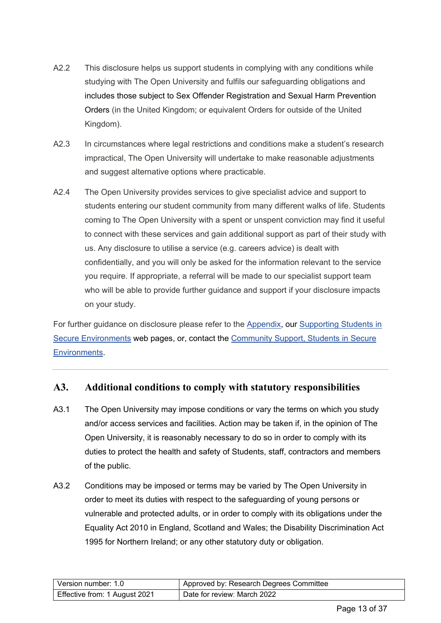- A2.2 This disclosure helps us support students in complying with any conditions while studying with The Open University and fulfils our safeguarding obligations and includes those subject to Sex Offender Registration and Sexual Harm Prevention Orders (in the United Kingdom; or equivalent Orders for outside of the United Kingdom).
- A2.3 In circumstances where legal restrictions and conditions make a student's research impractical, The Open University will undertake to make reasonable adjustments and suggest alternative options where practicable.
- A2.4 The Open University provides services to give specialist advice and support to students entering our student community from many different walks of life. Students coming to The Open University with a spent or unspent conviction may find it useful to connect with these services and gain additional support as part of their study with us. Any disclosure to utilise a service (e.g. careers advice) is dealt with confidentially, and you will only be asked for the information relevant to the service you require. If appropriate, a referral will be made to our specialist support team who will be able to provide further guidance and support if your disclosure impacts on your study.

For further guidance on disclosure please refer to the [Appendix,](#page-33-3) our Supporting Students in [Secure Environments](http://www.open.ac.uk/secure-environments/) web pages, or, contact the Community Support, Students in Secure Environments.

#### <span id="page-12-0"></span>**A3. Additional conditions to comply with statutory responsibilities**

- A3.1 The Open University may impose conditions or vary the terms on which you study and/or access services and facilities. Action may be taken if, in the opinion of The Open University, it is reasonably necessary to do so in order to comply with its duties to protect the health and safety of Students, staff, contractors and members of the public.
- A3.2 Conditions may be imposed or terms may be varied by The Open University in order to meet its duties with respect to the safeguarding of young persons or vulnerable and protected adults, or in order to comply with its obligations under the Equality Act 2010 in England, Scotland and Wales; the Disability Discrimination Act 1995 for Northern Ireland; or any other statutory duty or obligation.

| l Version number: 1.0         | Approved by: Research Degrees Committee |
|-------------------------------|-----------------------------------------|
| Effective from: 1 August 2021 | Date for review: March 2022             |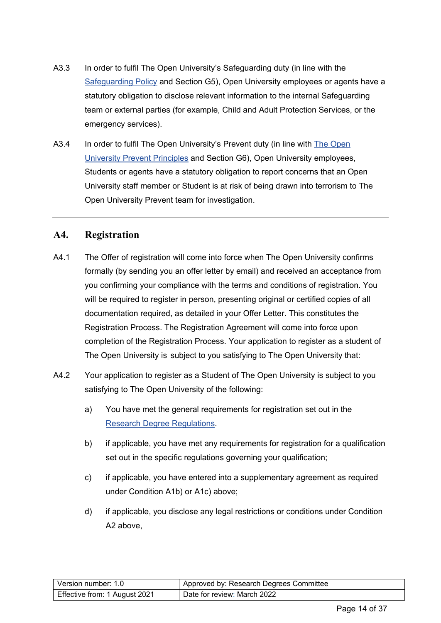- A3.3 In order to fulfil The Open University's Safeguarding duty (in line with the [Safeguarding Policy](https://help.open.ac.uk/documents/policies/ensuring-the-safety-of-children-and-vulnerable-protected-adults) and Section G5), Open University employees or agents have a statutory obligation to disclose relevant information to the internal Safeguarding team or external parties (for example, Child and Adult Protection Services, or the emergency services).
- A3.4 In order to fulfil [The Open](https://help.open.ac.uk/documents/policies/prevent-principles) University's Prevent duty (in line with The Open [University Prevent Principles](https://help.open.ac.uk/documents/policies/prevent-principles) and Section G6), Open University employees, Students or agents have a statutory obligation to report concerns that an Open University staff member or Student is at risk of being drawn into terrorism to The Open University Prevent team for investigation.

#### <span id="page-13-0"></span>**A4. Registration**

- A4.1 The Offer of registration will come into force when The Open University confirms formally (by sending you an offer letter by email) and received an acceptance from you confirming your compliance with the terms and conditions of registration. You will be required to register in person, presenting original or certified copies of all documentation required, as detailed in your Offer Letter. This constitutes the Registration Process. The Registration Agreement will come into force upon completion of the Registration Process. Your application to register as a student of The Open University is subject to you satisfying to The Open University that:
- A4.2 Your application to register as a Student of The Open University is subject to you satisfying to The Open University of the following:
	- a) You have met the general requirements for registration set out in the [Research Degree Regulations.](https://help.open.ac.uk/documents/policies/research-degree-regulations)
	- b) if applicable, you have met any requirements for registration for a qualification set out in the specific regulations governing your qualification;
	- c) if applicable, you have entered into a supplementary agreement as required under Condition A1b) or A1c) above;
	- d) if applicable, you disclose any legal restrictions or conditions under Condition A2 above,

| l Version number: 1.0         | Approved by: Research Degrees Committee |
|-------------------------------|-----------------------------------------|
| Effective from: 1 August 2021 | Date for review: March 2022             |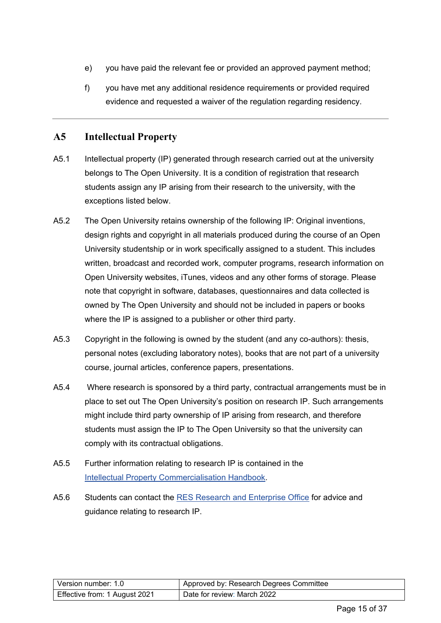- e) you have paid the relevant fee or provided an approved payment method;
- f) you have met any additional residence requirements or provided required evidence and requested a waiver of the regulation regarding residency.

### <span id="page-14-0"></span>**A5 Intellectual Property**

- A5.1 Intellectual property (IP) generated through research carried out at the university belongs to The Open University. It is a condition of registration that research students assign any IP arising from their research to the university, with the exceptions listed below.
- A5.2 The Open University retains ownership of the following IP: Original inventions, design rights and copyright in all materials produced during the course of an Open University studentship or in work specifically assigned to a student. This includes written, broadcast and recorded work, computer programs, research information on Open University websites, iTunes, videos and any other forms of storage. Please note that copyright in software, databases, questionnaires and data collected is owned by The Open University and should not be included in papers or books where the IP is assigned to a publisher or other third party.
- A5.3 Copyright in the following is owned by the student (and any co-authors): thesis, personal notes (excluding laboratory notes), books that are not part of a university course, journal articles, conference papers, presentations.
- A5.4 Where research is sponsored by a third party, contractual arrangements must be in place to set out The Open University's position on research IP. Such arrangements might include third party ownership of IP arising from research, and therefore students must assign the IP to The Open University so that the university can comply with its contractual obligations.
- A5.5 Further information relating to research IP is contained in the [Intellectual Property Commercialisation Handbook.](http://www.open.ac.uk/students/research/forms-and-guidance)
- A5.6 Students can contact the [RES Research and Enterprise Office](mailto:enterprise@open.ac.uk) for advice and guidance relating to research IP.

| l Version number: 1.0         | Approved by: Research Degrees Committee |
|-------------------------------|-----------------------------------------|
| Effective from: 1 August 2021 | Date for review: March 2022             |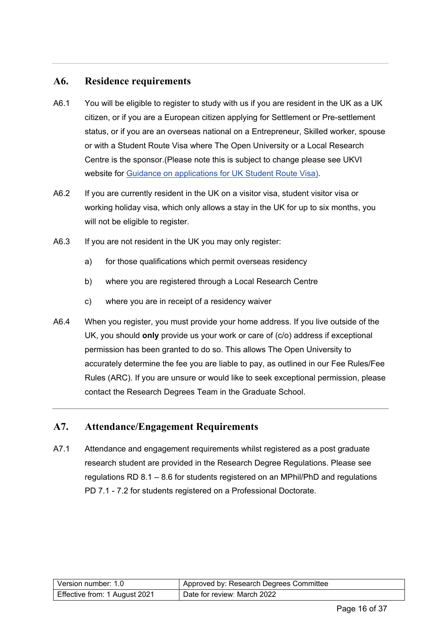#### <span id="page-15-0"></span>**A6. Residence requirements**

- A6.1 You will be eligible to register to study with us if you are resident in the UK as a UK citizen, or if you are a European citizen applying for Settlement or Pre-settlement status, or if you are an overseas national on a Entrepreneur, Skilled worker, spouse or with a Student Route Visa where The Open University or a Local Research Centre is the sponsor.(Please note this is subject to change please see UKVI website for Guidance [on applications for UK Student Route Visa\).](https://www.gov.uk/government/publications/guidance-on-application-for-uk-visa-as-tier-4-student)
- A6.2 If you are currently resident in the UK on a visitor visa, student visitor visa or working holiday visa, which only allows a stay in the UK for up to six months, you will not be eligible to register.
- A6.3 If you are not resident in the UK you may only register:
	- a) for those qualifications which permit overseas residency
	- b) where you are registered through a Local Research Centre
	- c) where you are in receipt of a residency waiver
- A6.4 When you register, you must provide your home address. If you live outside of the UK, you should **only** provide us your work or care of (c/o) address if exceptional permission has been granted to do so. This allows The Open University to accurately determine the fee you are liable to pay, as outlined in our Fee Rules/Fee Rules (ARC). If you are unsure or would like to seek exceptional permission, please contact the Research Degrees Team in the Graduate School.

#### <span id="page-15-1"></span>**A7. Attendance/Engagement Requirements**

A7.1 Attendance and engagement requirements whilst registered as a post graduate research student are provided in the Research Degree Regulations. Please see regulations RD 8.1 – 8.6 for students registered on an MPhil/PhD and regulations PD 7.1 - 7.2 for students registered on a Professional Doctorate.

| l Version number: 1.0         | Approved by: Research Degrees Committee |
|-------------------------------|-----------------------------------------|
| Effective from: 1 August 2021 | Date for review: March 2022             |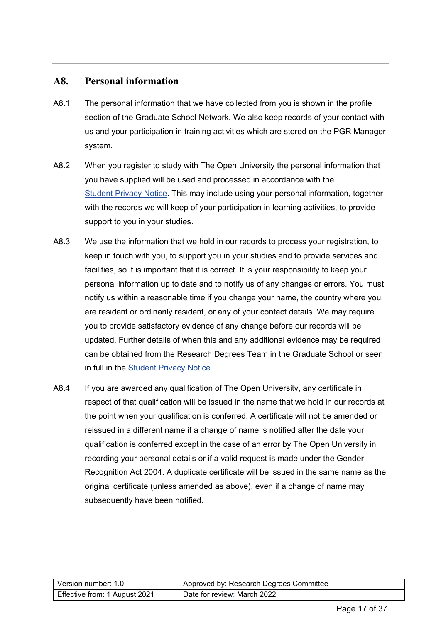#### <span id="page-16-0"></span>**A8. Personal information**

- A8.1 The personal information that we have collected from you is shown in the profile section of the Graduate School Network. We also keep records of your contact with us and your participation in training activities which are stored on the PGR Manager system.
- A8.2 When you register to study with The Open University the personal information that you have supplied will be used and processed in accordance with the [Student Privacy Notice.](https://help.open.ac.uk/documents/policies/privacy-notice) This may include using your personal information, together with the records we will keep of your participation in learning activities, to provide support to you in your studies.
- A8.3 We use the information that we hold in our records to process your registration, to keep in touch with you, to support you in your studies and to provide services and facilities, so it is important that it is correct. It is your responsibility to keep your personal information up to date and to notify us of any changes or errors. You must notify us within a reasonable time if you change your name, the country where you are resident or ordinarily resident, or any of your contact details. We may require you to provide satisfactory evidence of any change before our records will be updated. Further details of when this and any additional evidence may be required can be obtained from the Research Degrees Team in the Graduate School or seen in full in the [Student Privacy Notice.](https://help.open.ac.uk/documents/policies/privacy-notice)
- A8.4 If you are awarded any qualification of The Open University, any certificate in respect of that qualification will be issued in the name that we hold in our records at the point when your qualification is conferred. A certificate will not be amended or reissued in a different name if a change of name is notified after the date your qualification is conferred except in the case of an error by The Open University in recording your personal details or if a valid request is made under the Gender Recognition Act 2004. A duplicate certificate will be issued in the same name as the original certificate (unless amended as above), even if a change of name may subsequently have been notified.

| Version number: 1.0           | Approved by: Research Degrees Committee |
|-------------------------------|-----------------------------------------|
| Effective from: 1 August 2021 | Date for review: March 2022             |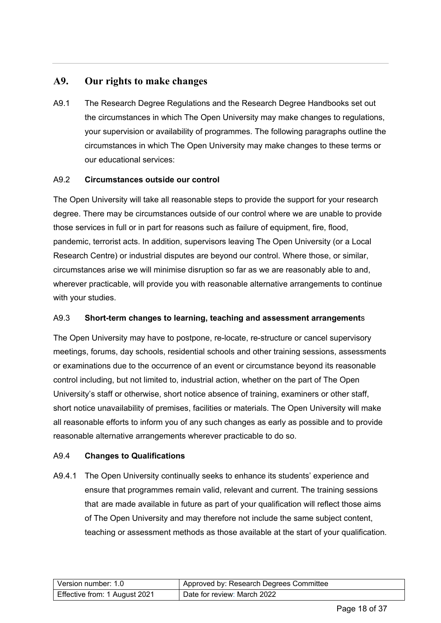#### <span id="page-17-0"></span>**A9. Our rights to make changes**

A9.1 The Research Degree Regulations and the Research Degree Handbooks set out the circumstances in which The Open University may make changes to regulations, your supervision or availability of programmes. The following paragraphs outline the circumstances in which The Open University may make changes to these terms or our educational services:

#### A9.2 **Circumstances outside our control**

The Open University will take all reasonable steps to provide the support for your research degree. There may be circumstances outside of our control where we are unable to provide those services in full or in part for reasons such as failure of equipment, fire, flood, pandemic, terrorist acts. In addition, supervisors leaving The Open University (or a Local Research Centre) or industrial disputes are beyond our control. Where those, or similar, circumstances arise we will minimise disruption so far as we are reasonably able to and, wherever practicable, will provide you with reasonable alternative arrangements to continue with your studies.

#### A9.3 **Short-term changes to learning, teaching and assessment arrangement**s

The Open University may have to postpone, re-locate, re-structure or cancel supervisory meetings, forums, day schools, residential schools and other training sessions, assessments or examinations due to the occurrence of an event or circumstance beyond its reasonable control including, but not limited to, industrial action, whether on the part of The Open University's staff or otherwise, short notice absence of training, examiners or other staff, short notice unavailability of premises, facilities or materials. The Open University will make all reasonable efforts to inform you of any such changes as early as possible and to provide reasonable alternative arrangements wherever practicable to do so.

#### A9.4 **Changes to Qualifications**

A9.4.1 The Open University continually seeks to enhance its students' experience and ensure that programmes remain valid, relevant and current. The training sessions that are made available in future as part of your qualification will reflect those aims of The Open University and may therefore not include the same subject content, teaching or assessment methods as those available at the start of your qualification*.*

| Version number: 1.0           | Approved by: Research Degrees Committee |
|-------------------------------|-----------------------------------------|
| Effective from: 1 August 2021 | Date for review: March 2022             |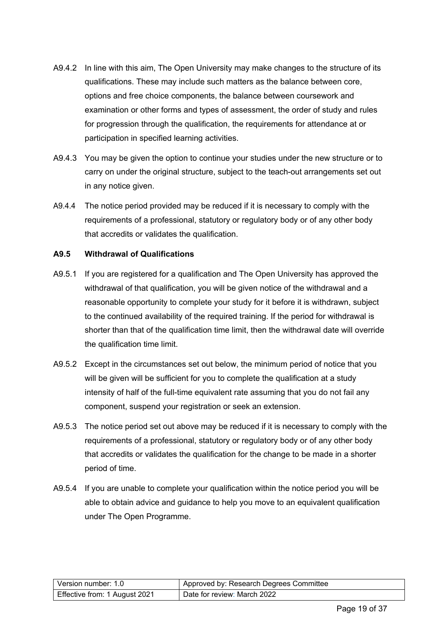- A9.4.2 In line with this aim, The Open University may make changes to the structure of its qualifications. These may include such matters as the balance between core, options and free choice components, the balance between coursework and examination or other forms and types of assessment, the order of study and rules for progression through the qualification, the requirements for attendance at or participation in specified learning activities.
- A9.4.3 You may be given the option to continue your studies under the new structure or to carry on under the original structure, subject to the teach-out arrangements set out in any notice given.
- A9.4.4 The notice period provided may be reduced if it is necessary to comply with the requirements of a professional, statutory or regulatory body or of any other body that accredits or validates the qualification.

#### **A9.5 Withdrawal of Qualifications**

- A9.5.1 If you are registered for a qualification and The Open University has approved the withdrawal of that qualification, you will be given notice of the withdrawal and a reasonable opportunity to complete your study for it before it is withdrawn, subject to the continued availability of the required training. If the period for withdrawal is shorter than that of the qualification time limit, then the withdrawal date will override the qualification time limit.
- A9.5.2 Except in the circumstances set out below, the minimum period of notice that you will be given will be sufficient for you to complete the qualification at a study intensity of half of the full-time equivalent rate assuming that you do not fail any component, suspend your registration or seek an extension.
- A9.5.3 The notice period set out above may be reduced if it is necessary to comply with the requirements of a professional, statutory or regulatory body or of any other body that accredits or validates the qualification for the change to be made in a shorter period of time.
- A9.5.4 If you are unable to complete your qualification within the notice period you will be able to obtain advice and guidance to help you move to an equivalent qualification under The Open Programme.

| l Version number: 1.0         | Approved by: Research Degrees Committee |
|-------------------------------|-----------------------------------------|
| Effective from: 1 August 2021 | Date for review: March 2022             |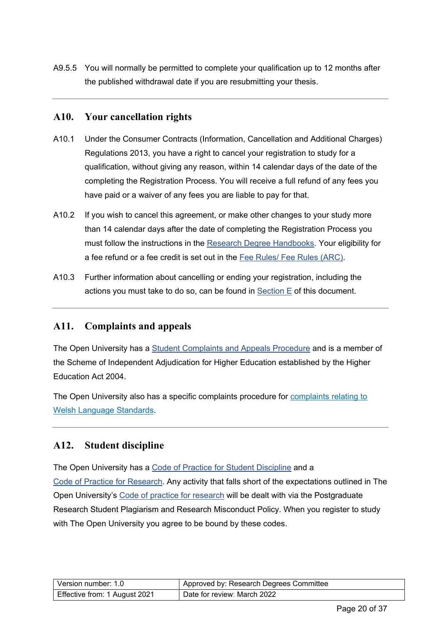A9.5.5 You will normally be permitted to complete your qualification up to 12 months after the published withdrawal date if you are resubmitting your thesis.

#### <span id="page-19-0"></span>**A10. Your cancellation rights**

- A10.1 Under the Consumer Contracts (Information, Cancellation and Additional Charges) Regulations 2013, you have a right to cancel your registration to study for a qualification, without giving any reason, within 14 calendar days of the date of the completing the Registration Process. You will receive a full refund of any fees you have paid or a waiver of any fees you are liable to pay for that.
- A10.2 If you wish to cancel this agreement, or make other changes to your study more than 14 calendar days after the date of completing the Registration Process you must follow the instructions in the [Research Degree Handbooks.](https://help.open.ac.uk/documents/policies/research-degrees-handbook) Your eligibility for a fee refund or a fee credit is set out in the [Fee Rules/ Fee Rules \(ARC\).](http://www.open.ac.uk/students/research/forms-and-guidance)
- A10.3 Further information about cancelling or ending your registration, including the actions you must take to do so, can be found in  $Section E$  of this document.

#### <span id="page-19-1"></span>**A11. Complaints and appeals**

The Open University has a [Student Complaints and Appeals Procedure](https://help.open.ac.uk/documents/policies/complaints-and-appeals-procedure) and is a member of the Scheme of Independent Adjudication for Higher Education established by the Higher Education Act 2004.

The Open University also has a specific complaints procedure for [complaints relating to](http://www.open.ac.uk/wales/sites/www.open.ac.uk.wales/files/files/Welsh%20Language%20Standards%20Complaints%20Policy%20Eng(2).pdf)  [Welsh Language Standards.](http://www.open.ac.uk/wales/sites/www.open.ac.uk.wales/files/files/Welsh%20Language%20Standards%20Complaints%20Policy%20Eng(2).pdf)

#### <span id="page-19-2"></span>**A12. Student discipline**

The Open University has a [Code of Practice for Student Discipline](https://help.open.ac.uk/documents/policies/code-of-practice-student-discipline) and a [Code of Practice for Research.](http://www.open.ac.uk/research/plans-policies) Any activity that falls short of the expectations outlined in The Open University's [Code of practice for research](http://www.open.ac.uk/research/sites/www.open.ac.uk.research/files/files/ecms/research-pr/web-content/Code-of-Practice-for-Research-at-The-Open-University-FINAL-for-the-external-research-website-July-2017.pdf) will be dealt with via the Postgraduate Research Student Plagiarism and Research Misconduct Policy. When you register to study with The Open University you agree to be bound by these codes.

| l Version number: 1.0         | Approved by: Research Degrees Committee |
|-------------------------------|-----------------------------------------|
| Effective from: 1 August 2021 | Date for review: March 2022             |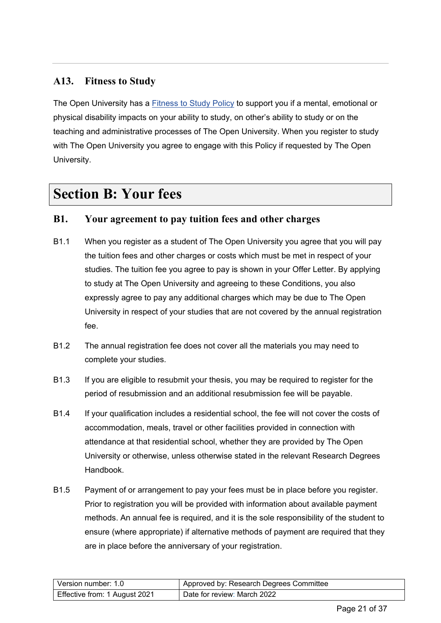### <span id="page-20-0"></span>**A13. Fitness to Study**

The Open University has a [Fitness to Study Policy](https://help.open.ac.uk/documents/policies/fitness-to-study) to support you if a mental, emotional or physical disability impacts on your ability to study, on other's ability to study or on the teaching and administrative processes of The Open University. When you register to study with The Open University you agree to engage with this Policy if requested by The Open University.

# <span id="page-20-1"></span>**Section B: Your fees**

#### <span id="page-20-2"></span>**B1. Your agreement to pay tuition fees and other charges**

- B1.1 When you register as a student of The Open University you agree that you will pay the tuition fees and other charges or costs which must be met in respect of your studies. The tuition fee you agree to pay is shown in your Offer Letter. By applying to study at The Open University and agreeing to these Conditions, you also expressly agree to pay any additional charges which may be due to The Open University in respect of your studies that are not covered by the annual registration fee.
- B1.2 The annual registration fee does not cover all the materials you may need to complete your studies.
- B1.3 If you are eligible to resubmit your thesis, you may be required to register for the period of resubmission and an additional resubmission fee will be payable.
- B1.4 If your qualification includes a residential school, the fee will not cover the costs of accommodation, meals, travel or other facilities provided in connection with attendance at that residential school, whether they are provided by The Open University or otherwise, unless otherwise stated in the relevant Research Degrees Handbook.
- B1.5 Payment of or arrangement to pay your fees must be in place before you register. Prior to registration you will be provided with information about available payment methods. An annual fee is required, and it is the sole responsibility of the student to ensure (where appropriate) if alternative methods of payment are required that they are in place before the anniversary of your registration.

| l Version number: 1.0         | Approved by: Research Degrees Committee |
|-------------------------------|-----------------------------------------|
| Effective from: 1 August 2021 | Date for review: March 2022             |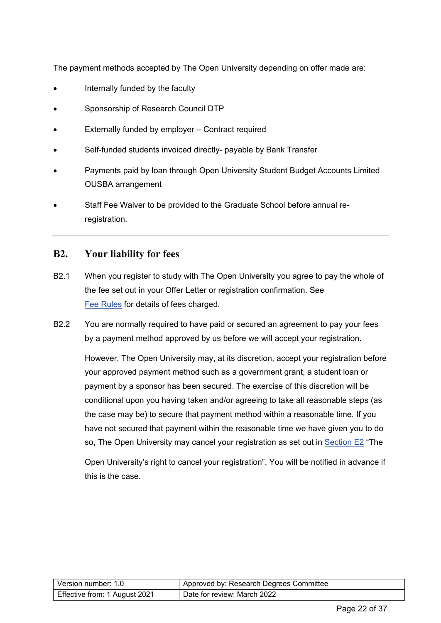The payment methods accepted by The Open University depending on offer made are:

- Internally funded by the faculty
- Sponsorship of Research Council DTP
- Externally funded by employer Contract required
- Self-funded students invoiced directly- payable by Bank Transfer
- Payments paid by loan through Open University Student Budget Accounts Limited OUSBA arrangement
- Staff Fee Waiver to be provided to the Graduate School before annual reregistration.

#### <span id="page-21-0"></span>**B2. Your liability for fees**

- B2.1 When you register to study with The Open University you agree to pay the whole of the fee set out in your Offer Letter or registration confirmation. See Fee Rules for details of fees charged.
- <span id="page-21-1"></span>B2.2 You are normally required to have paid or secured an agreement to pay your fees by a payment method approved by us before we will accept your registration.

However, The Open University may, at its discretion, accept your registration before your approved payment method such as a government grant, a student loan or payment by a sponsor has been secured. The exercise of this discretion will be conditional upon you having taken and/or agreeing to take all reasonable steps (as the case may be) to secure that payment method within a reasonable time. If you have not secured that payment within the reasonable time we have given you to do so, The Open University may cancel your registration as set out in [Section E2](#page-27-2) "The

Open University's right to cancel your registration". You will be notified in advance if this is the case.

| l Version number: 1.0_        | Approved by: Research Degrees Committee |
|-------------------------------|-----------------------------------------|
| Effective from: 1 August 2021 | Date for review: March 2022             |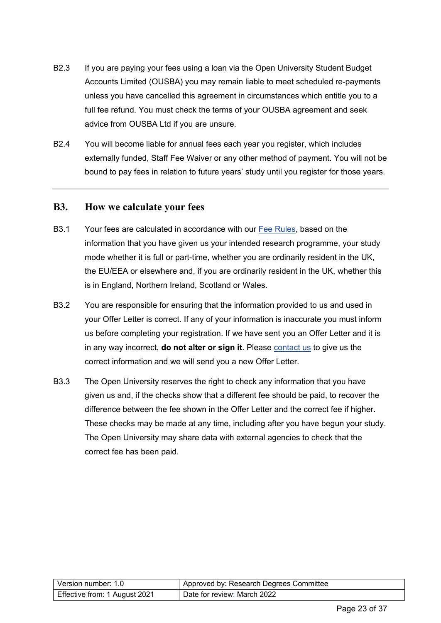- B2.3 If you are paying your fees using a loan via the Open University Student Budget Accounts Limited (OUSBA) you may remain liable to meet scheduled re-payments unless you have cancelled this agreement in circumstances which entitle you to a full fee refund. You must check the terms of your OUSBA agreement and seek advice from OUSBA Ltd if you are unsure.
- B2.4 You will become liable for annual fees each year you register, which includes externally funded, Staff Fee Waiver or any other method of payment. You will not be bound to pay fees in relation to future years' study until you register for those years.

#### <span id="page-22-0"></span>**B3. How we calculate your fees**

- B3.1 Your fees are calculated in accordance with our [Fee Rules,](https://help.open.ac.uk/documents/policies/fee-rules) based on the information that you have given us your intended research programme, your study mode whether it is full or part-time, whether you are ordinarily resident in the UK, the EU/EEA or elsewhere and, if you are ordinarily resident in the UK, whether this is in England, Northern Ireland, Scotland or Wales.
- B3.2 You are responsible for ensuring that the information provided to us and used in your Offer Letter is correct. If any of your information is inaccurate you must inform us before completing your registration. If we have sent you an Offer Letter and it is in any way incorrect, **do not alter or sign it**. Please [contact us](#page-33-2) to give us the correct information and we will send you a new Offer Letter.
- B3.3 The Open University reserves the right to check any information that you have given us and, if the checks show that a different fee should be paid, to recover the difference between the fee shown in the Offer Letter and the correct fee if higher. These checks may be made at any time, including after you have begun your study. The Open University may share data with external agencies to check that the correct fee has been paid.

| Version number: 1.0           | Approved by: Research Degrees Committee |
|-------------------------------|-----------------------------------------|
| Effective from: 1 August 2021 | Date for review: March 2022             |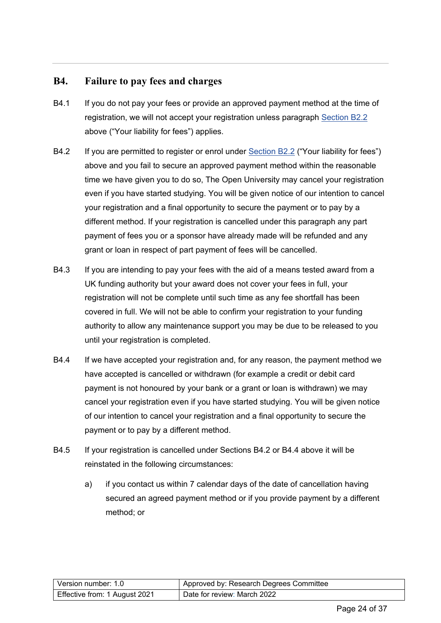#### <span id="page-23-0"></span>**B4. Failure to pay fees and charges**

- B4.1 If you do not pay your fees or provide an approved payment method at the time of registration, we will not accept your registration unless paragraph [Section B2.2](#page-21-1) above ("Your liability for fees") applies.
- B4.2 If you are permitted to register or enrol under [Section B2.2](#page-21-1) ("Your liability for fees") above and you fail to secure an approved payment method within the reasonable time we have given you to do so, The Open University may cancel your registration even if you have started studying. You will be given notice of our intention to cancel your registration and a final opportunity to secure the payment or to pay by a different method. If your registration is cancelled under this paragraph any part payment of fees you or a sponsor have already made will be refunded and any grant or loan in respect of part payment of fees will be cancelled.
- B4.3 If you are intending to pay your fees with the aid of a means tested award from a UK funding authority but your award does not cover your fees in full, your registration will not be complete until such time as any fee shortfall has been covered in full. We will not be able to confirm your registration to your funding authority to allow any maintenance support you may be due to be released to you until your registration is completed.
- B4.4 If we have accepted your registration and, for any reason, the payment method we have accepted is cancelled or withdrawn (for example a credit or debit card payment is not honoured by your bank or a grant or loan is withdrawn) we may cancel your registration even if you have started studying. You will be given notice of our intention to cancel your registration and a final opportunity to secure the payment or to pay by a different method.
- B4.5 If your registration is cancelled under Sections B4.2 or B4.4 above it will be reinstated in the following circumstances:
	- a) if you contact us within 7 calendar days of the date of cancellation having secured an agreed payment method or if you provide payment by a different method; or

| l Version number: 1.0         | Approved by: Research Degrees Committee |
|-------------------------------|-----------------------------------------|
| Effective from: 1 August 2021 | Date for review: March 2022             |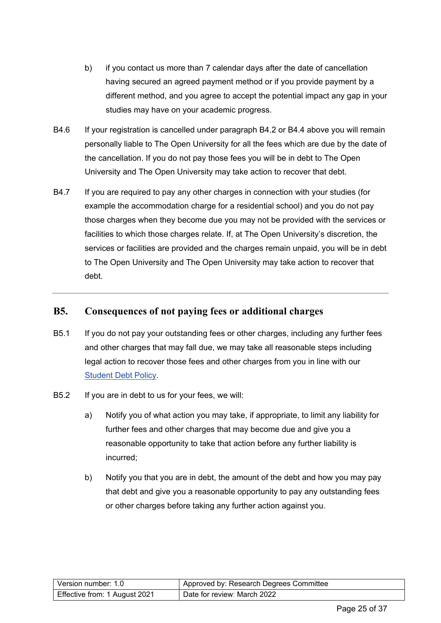- b) if you contact us more than 7 calendar days after the date of cancellation having secured an agreed payment method or if you provide payment by a different method, and you agree to accept the potential impact any gap in your studies may have on your academic progress.
- B4.6 If your registration is cancelled under paragraph B4.2 or B4.4 above you will remain personally liable to The Open University for all the fees which are due by the date of the cancellation. If you do not pay those fees you will be in debt to The Open University and The Open University may take action to recover that debt.
- B4.7 If you are required to pay any other charges in connection with your studies (for example the accommodation charge for a residential school) and you do not pay those charges when they become due you may not be provided with the services or facilities to which those charges relate. If, at The Open University's discretion, the services or facilities are provided and the charges remain unpaid, you will be in debt to The Open University and The Open University may take action to recover that debt.

#### <span id="page-24-0"></span>**B5. Consequences of not paying fees or additional charges**

- B5.1 If you do not pay your outstanding fees or other charges, including any further fees and other charges that may fall due, we may take all reasonable steps including legal action to recover those fees and other charges from you in line with our [Student Debt Policy.](https://help.open.ac.uk/documents/policies/student-debt-policy)
- B5.2 If you are in debt to us for your fees, we will:
	- a) Notify you of what action you may take, if appropriate, to limit any liability for further fees and other charges that may become due and give you a reasonable opportunity to take that action before any further liability is incurred;
	- b) Notify you that you are in debt, the amount of the debt and how you may pay that debt and give you a reasonable opportunity to pay any outstanding fees or other charges before taking any further action against you.

| Version number: 1.0           | Approved by: Research Degrees Committee |
|-------------------------------|-----------------------------------------|
| Effective from: 1 August 2021 | Date for review: March 2022             |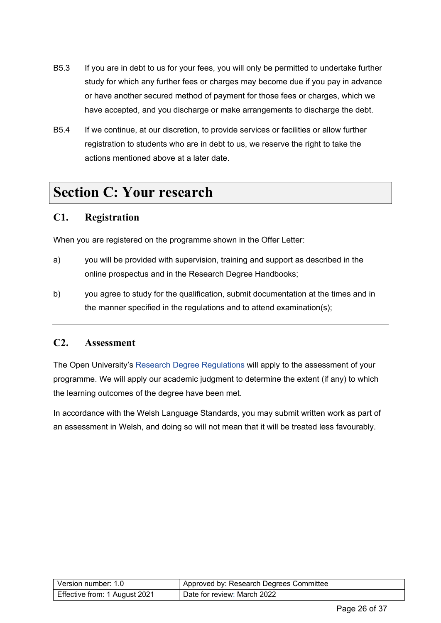- B5.3 If you are in debt to us for your fees, you will only be permitted to undertake further study for which any further fees or charges may become due if you pay in advance or have another secured method of payment for those fees or charges, which we have accepted, and you discharge or make arrangements to discharge the debt.
- B5.4 If we continue, at our discretion, to provide services or facilities or allow further registration to students who are in debt to us, we reserve the right to take the actions mentioned above at a later date.

# <span id="page-25-0"></span>**Section C: Your research**

#### <span id="page-25-1"></span>**C1. Registration**

When you are registered on the programme shown in the Offer Letter:

- a) you will be provided with supervision, training and support as described in the online prospectus and in the Research Degree Handbooks;
- b) you agree to study for the qualification, submit documentation at the times and in the manner specified in the regulations and to attend examination(s);

#### <span id="page-25-2"></span>**C2. Assessment**

The Open University's [Research Degree Regulations](https://help.open.ac.uk/documents/policies/research-degree-regulations) will apply to the assessment of your programme. We will apply our academic judgment to determine the extent (if any) to which the learning outcomes of the degree have been met.

In accordance with the Welsh Language Standards, you may submit written work as part of an assessment in Welsh, and doing so will not mean that it will be treated less favourably.

| Version number: 1.0           | Approved by: Research Degrees Committee |
|-------------------------------|-----------------------------------------|
| Effective from: 1 August 2021 | Date for review: March 2022             |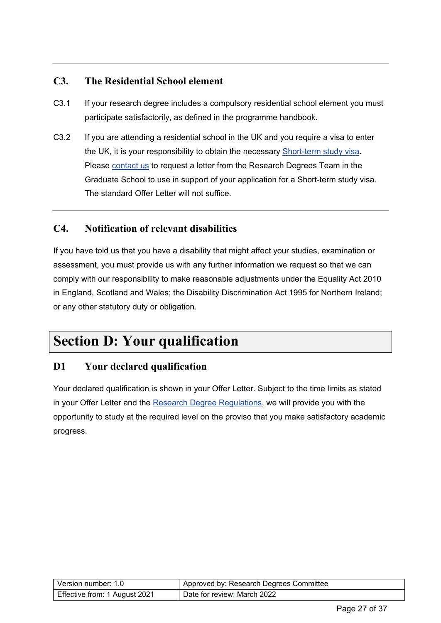### <span id="page-26-0"></span>**C3. The Residential School element**

- C3.1 If your research degree includes a compulsory residential school element you must participate satisfactorily, as defined in the programme handbook.
- C3.2 If you are attending a residential school in the UK and you require a visa to enter the UK, it is your responsibility to obtain the necessary [Short-term study visa.](https://www.gov.uk/study-visit-visa) Please [contact us](#page-33-2) to request a letter from the Research Degrees Team in the Graduate School to use in support of your application for a Short-term study visa. The standard Offer Letter will not suffice

### <span id="page-26-1"></span>**C4. Notification of relevant disabilities**

If you have told us that you have a disability that might affect your studies, examination or assessment, you must provide us with any further information we request so that we can comply with our responsibility to make reasonable adjustments under the Equality Act 2010 in England, Scotland and Wales; the Disability Discrimination Act 1995 for Northern Ireland; or any other statutory duty or obligation.

### <span id="page-26-2"></span>**Section D: Your qualification**

#### <span id="page-26-3"></span>**D1 Your declared qualification**

<span id="page-26-4"></span>Your declared qualification is shown in your Offer Letter. Subject to the time limits as stated in your Offer Letter and the [Research Degree Regulations,](https://help.open.ac.uk/documents/policies/research-degree-regulations) we will provide you with the opportunity to study at the required level on the proviso that you make satisfactory academic progress.

| Version number: 1.0           | Approved by: Research Degrees Committee |
|-------------------------------|-----------------------------------------|
| Effective from: 1 August 2021 | Date for review: March 2022             |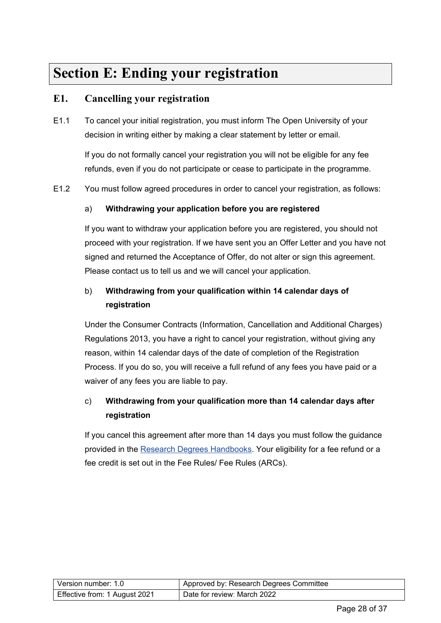# <span id="page-27-0"></span>**Section E: Ending your registration**

#### <span id="page-27-1"></span>**E1. Cancelling your registration**

E1.1 To cancel your initial registration, you must inform The Open University of your decision in writing either by making a clear statement by letter or email.

If you do not formally cancel your registration you will not be eligible for any fee refunds, even if you do not participate or cease to participate in the programme.

E1.2 You must follow agreed procedures in order to cancel your registration, as follows:

#### a) **Withdrawing your application before you are registered**

If you want to withdraw your application before you are registered, you should not proceed with your registration. If we have sent you an Offer Letter and you have not signed and returned the Acceptance of Offer, do not alter or sign this agreement. Please contact us to tell us and we will cancel your application.

### b) **Withdrawing from your qualification within 14 calendar days of registration**

Under the Consumer Contracts (Information, Cancellation and Additional Charges) Regulations 2013, you have a right to cancel your registration, without giving any reason, within 14 calendar days of the date of completion of the Registration Process. If you do so, you will receive a full refund of any fees you have paid or a waiver of any fees you are liable to pay.

### c) **Withdrawing from your qualification more than 14 calendar days after registration**

<span id="page-27-2"></span>If you cancel this agreement after more than 14 days you must follow the guidance provided in the [Research Degrees Handbooks.](https://help.open.ac.uk/documents/policies/research-degrees-handbook) Your eligibility for a fee refund or a fee credit is set out in the Fee Rules/ Fee Rules (ARCs).

| l Version number: 1.0         | Approved by: Research Degrees Committee |
|-------------------------------|-----------------------------------------|
| Effective from: 1 August 2021 | Date for review: March 2022             |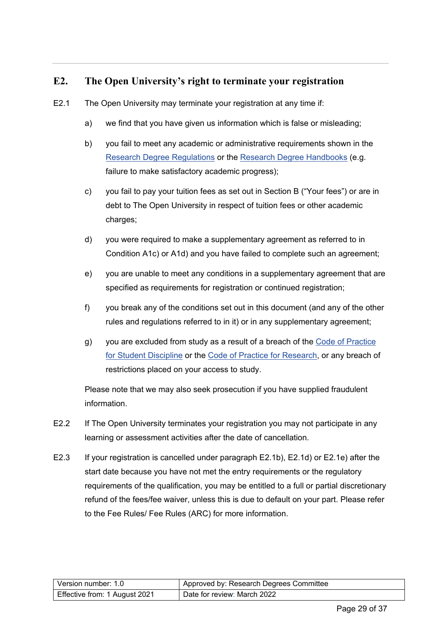### <span id="page-28-0"></span>**E2. The Open University's right to terminate your registration**

- E2.1 The Open University may terminate your registration at any time if:
	- a) we find that you have given us information which is false or misleading;
	- b) you fail to meet any academic or administrative requirements shown in the Research [Degree Regulations](https://help.open.ac.uk/documents/policies/research-degree-regulations) or the [Research Degree Handbooks](https://help.open.ac.uk/documents/policies/research-degrees-handbook) (e.g. failure to make satisfactory academic progress);
	- c) you fail to pay your tuition fees as set out in Section B ("Your fees") or are in debt to The Open University in respect of tuition fees or other academic charges;
	- d) you were required to make a supplementary agreement as referred to in Condition A1c) or A1d) and you have failed to complete such an agreement;
	- e) you are unable to meet any conditions in a supplementary agreement that are specified as requirements for registration or continued registration;
	- f) you break any of the conditions set out in this document (and any of the other rules and regulations referred to in it) or in any supplementary agreement;
	- g) you are excluded from study as a result of a breach of the Code of Practice [for Student Discipline](https://help.open.ac.uk/documents/policies/code-of-practice-student-discipline) or the [Code of Practice for Research,](http://www.open.ac.uk/research/plans-policies) or any breach of restrictions placed on your access to study.

Please note that we may also seek prosecution if you have supplied fraudulent information.

- E2.2 If The Open University terminates your registration you may not participate in any learning or assessment activities after the date of cancellation.
- E2.3 If your registration is cancelled under paragraph E2.1b), E2.1d) or E2.1e) after the start date because you have not met the entry requirements or the regulatory requirements of the qualification, you may be entitled to a full or partial discretionary refund of the fees/fee waiver, unless this is due to default on your part. Please refer to the Fee Rules/ Fee Rules (ARC) for more information.

| Version number: 1.0           | Approved by: Research Degrees Committee |
|-------------------------------|-----------------------------------------|
| Effective from: 1 August 2021 | Date for review: March 2022             |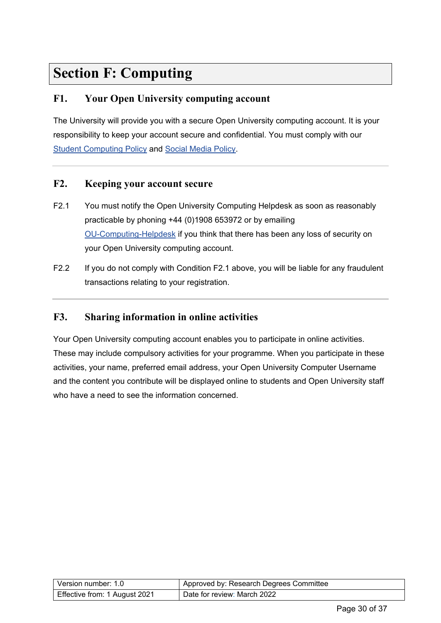# <span id="page-29-0"></span>**Section F: Computing**

### <span id="page-29-1"></span>**F1. Your Open University computing account**

The University will provide you with a secure Open University computing account. It is your responsibility to keep your account secure and confidential. You must comply with our [Student Computing Policy](https://help.open.ac.uk/documents/policies/computing) and [Social Media Policy.](https://help.open.ac.uk/documents/policies/social-media)

#### <span id="page-29-2"></span>**F2. Keeping your account secure**

- F2.1 You must notify the Open University Computing Helpdesk as soon as reasonably practicable by phoning +44 (0)1908 653972 or by emailing [OU-Computing-Helpdesk](mailto:ou-computing-helpdesk@open.ac.uk) if you think that there has been any loss of security on your Open University computing account.
- F2.2 If you do not comply with Condition F2.1 above, you will be liable for any fraudulent transactions relating to your registration.

#### <span id="page-29-3"></span>**F3. Sharing information in online activities**

Your Open University computing account enables you to participate in online activities. These may include compulsory activities for your programme. When you participate in these activities, your name, preferred email address, your Open University Computer Username and the content you contribute will be displayed online to students and Open University staff who have a need to see the information concerned.

| Version number: 1.0           | Approved by: Research Degrees Committee |
|-------------------------------|-----------------------------------------|
| Effective from: 1 August 2021 | Date for review: March 2022             |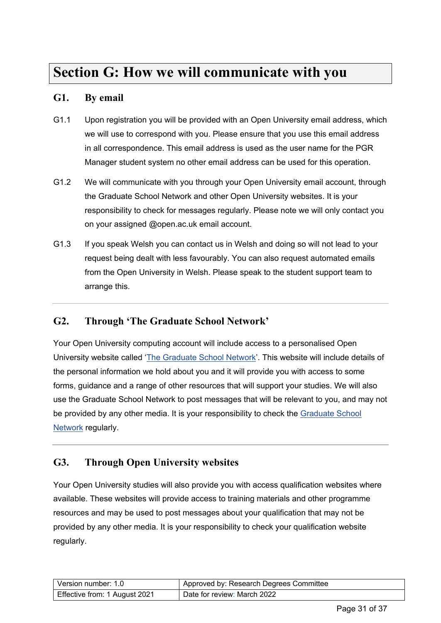# <span id="page-30-0"></span>**Section G: How we will communicate with you**

#### <span id="page-30-1"></span>**G1. By email**

- G1.1 Upon registration you will be provided with an Open University email address, which we will use to correspond with you. Please ensure that you use this email address in all correspondence. This email address is used as the user name for the PGR Manager student system no other email address can be used for this operation.
- G1.2 We will communicate with you through your Open University email account, through the Graduate School Network and other Open University websites. It is your responsibility to check for messages regularly. Please note we will only contact you on your assigned @open.ac.uk email account.
- G1.3 If you speak Welsh you can contact us in Welsh and doing so will not lead to your request being dealt with less favourably. You can also request automated emails from the Open University in Welsh. Please speak to the student support team to arrange this.

#### <span id="page-30-2"></span>**G2. Through 'The Graduate School Network'**

Your Open University computing account will include access to a personalised Open University website called ['The Graduate School Network'](http://www.open.ac.uk/students/research/). This website will include details of the personal information we hold about you and it will provide you with access to some forms, guidance and a range of other resources that will support your studies. We will also use the Graduate School Network to post messages that will be relevant to you, and may not be provided by any other media. It is your responsibility to check the Graduate School [Network](http://www.open.ac.uk/students/research/) regularly.

#### <span id="page-30-3"></span>**G3. Through Open University websites**

Your Open University studies will also provide you with access qualification websites where available. These websites will provide access to training materials and other programme resources and may be used to post messages about your qualification that may not be provided by any other media. It is your responsibility to check your qualification website regularly.

| Version number: 1.0           | Approved by: Research Degrees Committee |
|-------------------------------|-----------------------------------------|
| Effective from: 1 August 2021 | Date for review: March 2022             |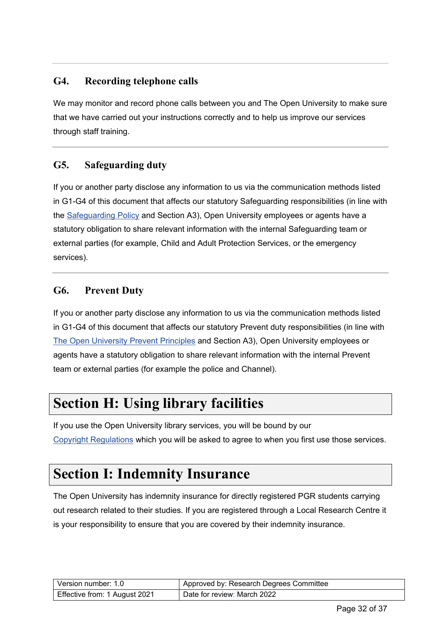### <span id="page-31-0"></span>**G4. Recording telephone calls**

We may monitor and record phone calls between you and The Open University to make sure that we have carried out your instructions correctly and to help us improve our services through staff training.

### <span id="page-31-1"></span>**G5. Safeguarding duty**

If you or another party disclose any information to us via the communication methods listed in G1-G4 of this document that affects our statutory Safeguarding responsibilities (in line with the [Safeguarding Policy](https://help.open.ac.uk/documents/policies/ensuring-the-safety-of-children-and-vulnerable-protected-adults) and Section A3), Open University employees or agents have a statutory obligation to share relevant information with the internal Safeguarding team or external parties (for example, Child and Adult Protection Services, or the emergency services).

#### <span id="page-31-2"></span>**G6. Prevent Duty**

If you or another party disclose any information to us via the communication methods listed in G1-G4 of this document that affects our statutory Prevent duty responsibilities (in line with [The Open University Prevent Principles](https://help.open.ac.uk/documents/policies/prevent-principles) and Section A3), Open University employees or agents have a statutory obligation to share relevant information with the internal Prevent team or external parties (for example the police and Channel).

# <span id="page-31-3"></span>**Section H: Using library facilities**

If you use the Open University library services, you will be bound by our [Copyright Regulations](http://www.open.ac.uk/library/library-information/copying-and-downloading) which you will be asked to agree to when you first use those services.

# <span id="page-31-4"></span>**Section I: Indemnity Insurance**

The Open University has indemnity insurance for directly registered PGR students carrying out research related to their studies. If you are registered through a Local Research Centre it is your responsibility to ensure that you are covered by their indemnity insurance.

| Version number: 1.0           | Approved by: Research Degrees Committee |
|-------------------------------|-----------------------------------------|
| Effective from: 1 August 2021 | Date for review: March 2022             |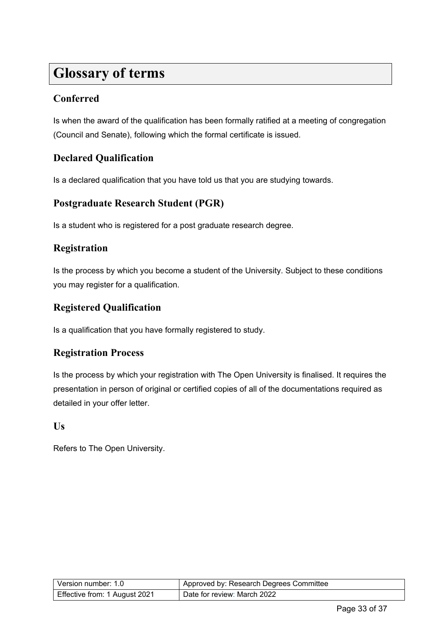# <span id="page-32-0"></span>**Glossary of terms**

### **Conferred**

Is when the award of the qualification has been formally ratified at a meeting of congregation (Council and Senate), following which the formal certificate is issued.

### **Declared Qualification**

Is a declared qualification that you have told us that you are studying towards.

### **Postgraduate Research Student (PGR)**

Is a student who is registered for a post graduate research degree.

#### **Registration**

Is the process by which you become a student of the University. Subject to these conditions you may register for a qualification.

### **Registered Qualification**

Is a qualification that you have formally registered to study.

#### **Registration Process**

Is the process by which your registration with The Open University is finalised. It requires the presentation in person of original or certified copies of all of the documentations required as detailed in your offer letter.

#### **Us**

Refers to The Open University.

| l Version number: 1.0         | Approved by: Research Degrees Committee |
|-------------------------------|-----------------------------------------|
| Effective from: 1 August 2021 | Date for review: March 2022             |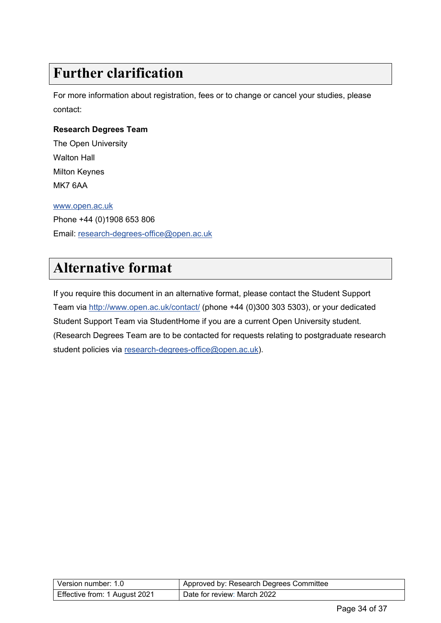# <span id="page-33-0"></span>**Further clarification**

For more information about registration, fees or to change or cancel your studies, please contact:

#### <span id="page-33-2"></span>**Research Degrees Team**

The Open University Walton Hall Milton Keynes MK7 6AA [www.open.ac.uk](http://www.open.ac.uk/)

Phone +44 (0)1908 653 806 Email: [research-degrees-office@open.ac.uk](mailto:research-degrees-office@open.ac.uk)

# <span id="page-33-1"></span>**Alternative format**

<span id="page-33-3"></span>If you require this document in an alternative format, please contact the Student Support Team via<http://www.open.ac.uk/contact/> (phone +44 (0)300 303 5303), or your dedicated Student Support Team via StudentHome if you are a current Open University student. (Research Degrees Team are to be contacted for requests relating to postgraduate research student policies via [research-degrees-office@open.ac.uk\)](mailto:research-degrees-office@open.ac.uk).

| l Version number: 1.0_        | Approved by: Research Degrees Committee |
|-------------------------------|-----------------------------------------|
| Effective from: 1 August 2021 | Date for review: March 2022             |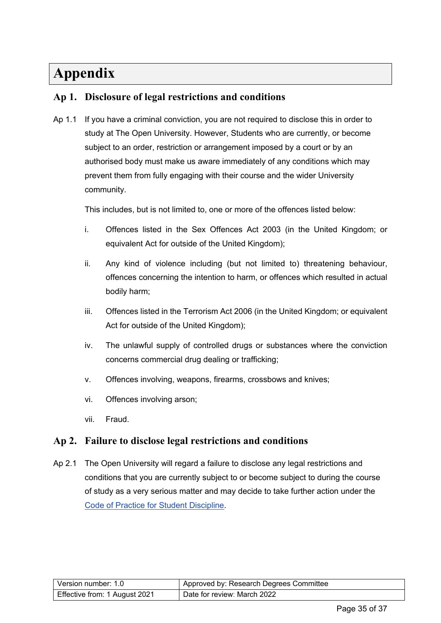# <span id="page-34-0"></span>**Appendix**

### <span id="page-34-1"></span>**Ap 1. Disclosure of legal restrictions and conditions**

Ap 1.1 If you have a criminal conviction, you are not required to disclose this in order to study at The Open University. However, Students who are currently, or become subject to an order, restriction or arrangement imposed by a court or by an authorised body must make us aware immediately of any conditions which may prevent them from fully engaging with their course and the wider University community.

This includes, but is not limited to, one or more of the offences listed below:

- i. Offences listed in the Sex Offences Act 2003 (in the United Kingdom; or equivalent Act for outside of the United Kingdom);
- ii. Any kind of violence including (but not limited to) threatening behaviour, offences concerning the intention to harm, or offences which resulted in actual bodily harm;
- iii. Offences listed in the Terrorism Act 2006 (in the United Kingdom; or equivalent Act for outside of the United Kingdom);
- iv. The unlawful supply of controlled drugs or substances where the conviction concerns commercial drug dealing or trafficking;
- v. Offences involving, weapons, firearms, crossbows and knives;
- vi. Offences involving arson;
- vii. Fraud.

#### <span id="page-34-2"></span>**Ap 2. Failure to disclose legal restrictions and conditions**

Ap 2.1 The Open University will regard a failure to disclose any legal restrictions and conditions that you are currently subject to or become subject to during the course of study as a very serious matter and may decide to take further action under the [Code of Practice for Student Discipline.](https://help.open.ac.uk/documents/policies/code-of-practice-student-discipline)

| Version number: 1.0           | Approved by: Research Degrees Committee |
|-------------------------------|-----------------------------------------|
| Effective from: 1 August 2021 | Date for review: March 2022             |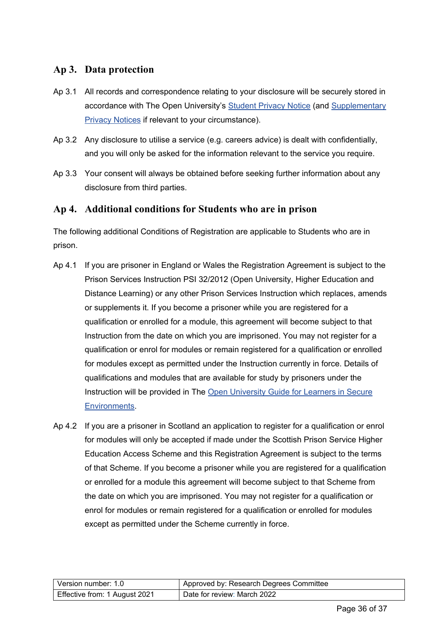#### <span id="page-35-0"></span>**Ap 3. Data protection**

- Ap 3.1 All records and correspondence relating to your disclosure will be securely stored in accordance with The Open University's [Student Privacy Notice](https://help.open.ac.uk/documents/policies/privacy-notice) (and [Supplementary](https://help.open.ac.uk/documents/policies/privacy-notice)  [Privacy Notices](https://help.open.ac.uk/documents/policies/privacy-notice) if relevant to your circumstance).
- Ap 3.2 Any disclosure to utilise a service (e.g. careers advice) is dealt with confidentially, and you will only be asked for the information relevant to the service you require.
- Ap 3.3 Your consent will always be obtained before seeking further information about any disclosure from third parties.

#### <span id="page-35-1"></span>**Ap 4. Additional conditions for Students who are in prison**

The following additional Conditions of Registration are applicable to Students who are in prison.

- Ap 4.1 If you are prisoner in England or Wales the Registration Agreement is subject to the Prison Services Instruction PSI 32/2012 (Open University, Higher Education and Distance Learning) or any other Prison Services Instruction which replaces, amends or supplements it. If you become a prisoner while you are registered for a qualification or enrolled for a module, this agreement will become subject to that Instruction from the date on which you are imprisoned. You may not register for a qualification or enrol for modules or remain registered for a qualification or enrolled for modules except as permitted under the Instruction currently in force. Details of qualifications and modules that are available for study by prisoners under the Instruction will be provided in The [Open University Guide for Learners in Secure](http://www.open.ac.uk/secure-environments/overview/our-curriculum)  [Environments.](http://www.open.ac.uk/secure-environments/overview/our-curriculum)
- Ap 4.2 If you are a prisoner in Scotland an application to register for a qualification or enrol for modules will only be accepted if made under the Scottish Prison Service Higher Education Access Scheme and this Registration Agreement is subject to the terms of that Scheme. If you become a prisoner while you are registered for a qualification or enrolled for a module this agreement will become subject to that Scheme from the date on which you are imprisoned. You may not register for a qualification or enrol for modules or remain registered for a qualification or enrolled for modules except as permitted under the Scheme currently in force.

| Version number: 1.0           | Approved by: Research Degrees Committee |
|-------------------------------|-----------------------------------------|
| Effective from: 1 August 2021 | Date for review: March 2022             |